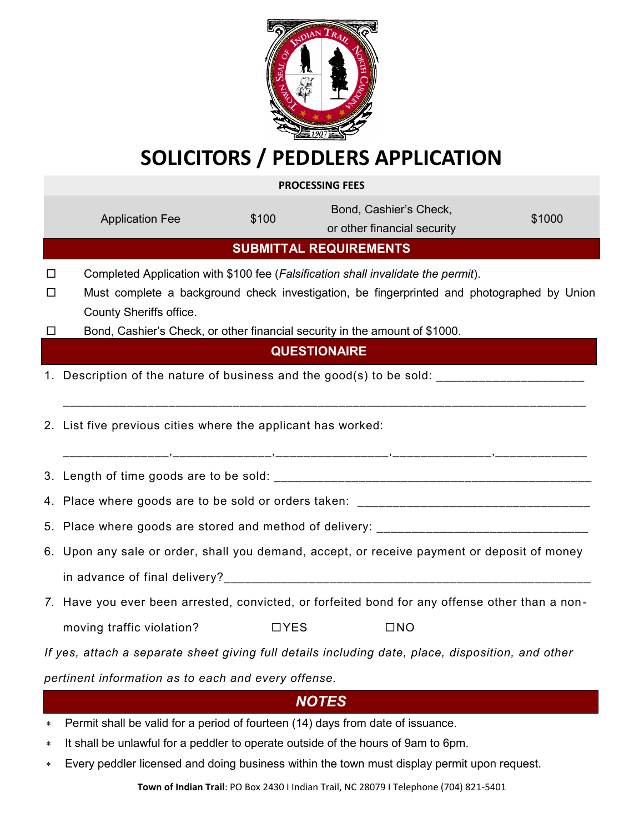

## **SOLICITORS / PEDDLERS APPLICATION**

**PROCESSING FEES**

|                                                                                                   | <b>Application Fee</b>                                                                      | \$100       | Bond, Cashier's Check,<br>or other financial security                                          | \$1000 |  |
|---------------------------------------------------------------------------------------------------|---------------------------------------------------------------------------------------------|-------------|------------------------------------------------------------------------------------------------|--------|--|
| <b>SUBMITTAL REQUIREMENTS</b>                                                                     |                                                                                             |             |                                                                                                |        |  |
| □                                                                                                 | Completed Application with \$100 fee (Falsification shall invalidate the permit).           |             |                                                                                                |        |  |
| ப                                                                                                 | County Sheriffs office.                                                                     |             | Must complete a background check investigation, be fingerprinted and photographed by Union     |        |  |
| $\Box$                                                                                            |                                                                                             |             | Bond, Cashier's Check, or other financial security in the amount of \$1000.                    |        |  |
| <b>QUESTIONAIRE</b>                                                                               |                                                                                             |             |                                                                                                |        |  |
|                                                                                                   | 1. Description of the nature of business and the good(s) to be sold:                        |             |                                                                                                |        |  |
|                                                                                                   | 2. List five previous cities where the applicant has worked:                                |             |                                                                                                |        |  |
|                                                                                                   |                                                                                             |             |                                                                                                |        |  |
|                                                                                                   |                                                                                             |             |                                                                                                |        |  |
|                                                                                                   | 5. Place where goods are stored and method of delivery: ________________________            |             |                                                                                                |        |  |
|                                                                                                   | 6. Upon any sale or order, shall you demand, accept, or receive payment or deposit of money |             |                                                                                                |        |  |
|                                                                                                   |                                                                                             |             |                                                                                                |        |  |
|                                                                                                   |                                                                                             |             | 7. Have you ever been arrested, convicted, or forfeited bond for any offense other than a non- |        |  |
|                                                                                                   | moving traffic violation?                                                                   | <b>DYES</b> | $\square$ NO                                                                                   |        |  |
| If yes, attach a separate sheet giving full details including date, place, disposition, and other |                                                                                             |             |                                                                                                |        |  |
| pertinent information as to each and every offense.                                               |                                                                                             |             |                                                                                                |        |  |

## *NOTES*

- Permit shall be valid for a period of fourteen (14) days from date of issuance.
- \* It shall be unlawful for a peddler to operate outside of the hours of 9am to 6pm.
- Every peddler licensed and doing business within the town must display permit upon request.